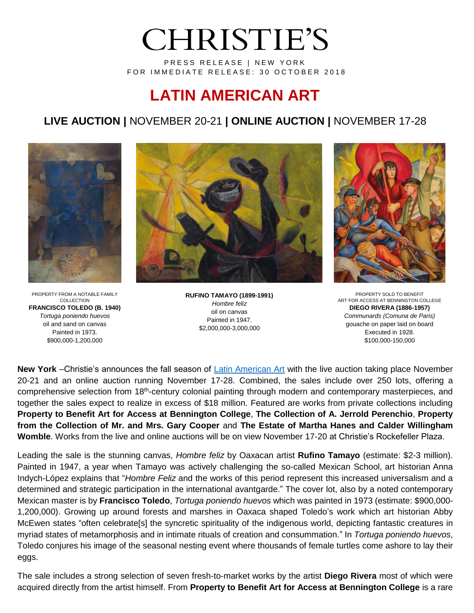# **CHRISTIE'S**

PRESS RELEASE | NEW YORK FOR IMMEDIATE RELEASE: 30 OCTOBER 2018

## **LATIN AMERICAN ART**

### **LIVE AUCTION |** NOVEMBER 20-21 **| ONLINE AUCTION |** NOVEMBER 17-28



PROPERTY FROM A NOTABLE FAMILY COLLECTION **FRANCISCO TOLEDO (B. 1940)** *Tortuga poniendo huevos* oil and sand on canvas Painted in 1973. \$900,000-1,200,000







oil on canvas Painted in 1947. \$2,000,000-3,000,000

PROPERTY SOLD TO BENEFIT ART FOR ACCESS AT BENNINGTON COLLEGE **DIEGO RIVERA (1886-1957)** *Communards (Comuna de Paris)* gouache on paper laid on board Executed in 1928. \$100,000-150,000

**New York** –Christie's announces the fall season of [Latin American Art](https://www.christies.com/salelanding/index.aspx?salenumber=15581&saleroomcode=nyr&lid=1&dt=24102018161020&saletitle=) with the live auction taking place November 20-21 and an online auction running November 17-28. Combined, the sales include over 250 lots, offering a comprehensive selection from 18<sup>th</sup>-century colonial painting through modern and contemporary masterpieces, and together the sales expect to realize in excess of \$18 million. Featured are works from private collections including **Property to Benefit Art for Access at Bennington College**, **The Collection of A. Jerrold Perenchio**, **Property from the Collection of Mr. and Mrs. Gary Cooper** and **The Estate of Martha Hanes and Calder Willingham Womble**. Works from the live and online auctions will be on view November 17-20 at Christie's Rockefeller Plaza.

Leading the sale is the stunning canvas, *Hombre feliz* by Oaxacan artist **Rufino Tamayo** (estimate: \$2-3 million). Painted in 1947, a year when Tamayo was actively challenging the so-called Mexican School, art historian Anna Indych-López explains that "*Hombre Feliz* and the works of this period represent this increased universalism and a determined and strategic participation in the international avantgarde." The cover lot, also by a noted contemporary Mexican master is by **Francisco Toledo**, *Tortuga poniendo huevos* which was painted in 1973 (estimate: \$900,000- 1,200,000). Growing up around forests and marshes in Oaxaca shaped Toledo's work which art historian Abby McEwen states "often celebrate[s] the syncretic spirituality of the indigenous world, depicting fantastic creatures in myriad states of metamorphosis and in intimate rituals of creation and consummation." In *Tortuga poniendo huevos*, Toledo conjures his image of the seasonal nesting event where thousands of female turtles come ashore to lay their eggs.

The sale includes a strong selection of seven fresh-to-market works by the artist **Diego Rivera** most of which were acquired directly from the artist himself. From **Property to Benefit Art for Access at Bennington College** is a rare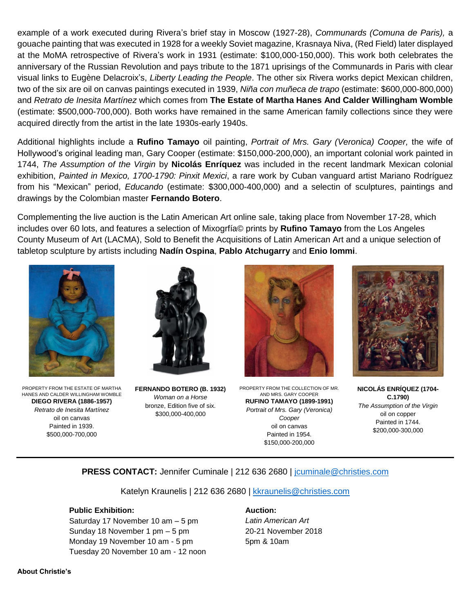example of a work executed during Rivera's brief stay in Moscow (1927-28), *Communards (Comuna de Paris),* a gouache painting that was executed in 1928 for a weekly Soviet magazine, Krasnaya Niva, (Red Field) later displayed at the MoMA retrospective of Rivera's work in 1931 (estimate: \$100,000-150,000). This work both celebrates the anniversary of the Russian Revolution and pays tribute to the 1871 uprisings of the Communards in Paris with clear visual links to Eugène Delacroix's, *Liberty Leading the People*. The other six Rivera works depict Mexican children, two of the six are oil on canvas paintings executed in 1939, *Niña con muñeca de trapo* (estimate: \$600,000-800,000) and *Retrato de Inesita Martínez* which comes from **The Estate of Martha Hanes And Calder Willingham Womble** (estimate: \$500,000-700,000). Both works have remained in the same American family collections since they were acquired directly from the artist in the late 1930s-early 1940s.

Additional highlights include a **Rufino Tamayo** oil painting, *Portrait of Mrs. Gary (Veronica) Cooper,* the wife of Hollywood's original leading man, Gary Cooper (estimate: \$150,000-200,000), an important colonial work painted in 1744, *The Assumption of the Virgin* by **Nicolás Enríquez** was included in the recent landmark Mexican colonial exhibition, *Painted in Mexico, 1700-1790: Pinxit Mexici*, a rare work by Cuban vanguard artist Mariano Rodríguez from his "Mexican" period, *Educando* (estimate: \$300,000-400,000) and a selectin of sculptures, paintings and drawings by the Colombian master **Fernando Botero**.

Complementing the live auction is the Latin American Art online sale, taking place from November 17-28, which includes over 60 lots, and features a selection of Mixogrfía© prints by **Rufino Tamayo** from the Los Angeles County Museum of Art (LACMA), Sold to Benefit the Acquisitions of Latin American Art and a unique selection of tabletop sculpture by artists including **Nadín Ospina**, **Pablo Atchugarry** and **Enio Iommi**.



PROPERTY FROM THE ESTATE OF MARTHA HANES AND CALDER WILLINGHAM WOMBLE **DIEGO RIVERA (1886-1957)** *Retrato de Inesita Martínez* oil on canvas Painted in 1939. \$500,000-700,000



**FERNANDO BOTERO (B. 1932)** *Woman on a Horse* bronze, Edition five of six. \$300,000-400,000



PROPERTY FROM THE COLLECTION OF MR. AND MRS. GARY COOPER **RUFINO TAMAYO (1899-1991)** *Portrait of Mrs. Gary (Veronica) Cooper* oil on canvas Painted in 1954. \$150,000-200,000



**NICOLÁS ENRÍQUEZ (1704- C.1790)** *The Assumption of the Virgin* oil on copper Painted in 1744. \$200,000-300,000

#### **PRESS CONTACT:** Jennifer Cuminale | 212 636 2680 | [jcuminale@christies.com](mailto:jcuminale@christies.com)

Katelyn Kraunelis | 212 636 2680 | [kkraunelis@christies.com](mailto:kkraunelis@christies.com)

#### **Public Exhibition:**

Saturday 17 November 10 am – 5 pm Sunday 18 November 1 pm – 5 pm Monday 19 November 10 am - 5 pm Tuesday 20 November 10 am - 12 noon

#### **Auction:**

*Latin American Art* 20-21 November 2018 5pm & 10am